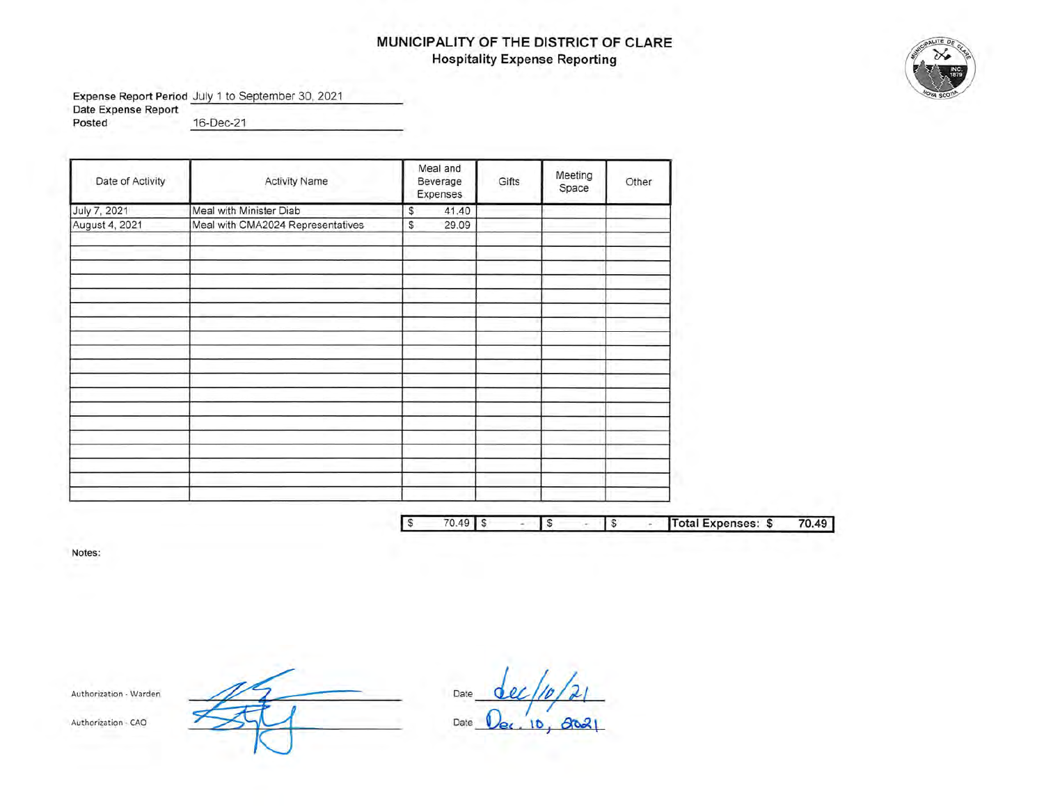# **MUNICIPALITY OF THE DISTRICT OF CLARE Hospitality Expense Reporting**

**Expense Report Period** July 1 to September 30, 2021

**Date Expense Report**  ---------------

**Posted** 16-Dec-21

| Date of Activity | <b>Activity Name</b>              | Meal and<br>Beverage<br>Expenses | Gifts | Meeting<br>Space | Other |      |
|------------------|-----------------------------------|----------------------------------|-------|------------------|-------|------|
| July 7, 2021     | Meal with Minister Diab           | 41.40<br>\$                      |       |                  |       |      |
| August 4, 2021   | Meal with CMA2024 Representatives | 29.09<br>S.                      |       |                  |       |      |
|                  |                                   |                                  |       |                  |       |      |
|                  |                                   |                                  |       |                  |       |      |
|                  |                                   |                                  |       |                  |       |      |
|                  |                                   |                                  |       |                  |       |      |
|                  |                                   |                                  |       |                  |       |      |
|                  |                                   |                                  |       |                  |       |      |
|                  |                                   |                                  |       |                  |       |      |
|                  |                                   |                                  |       |                  |       |      |
|                  |                                   |                                  |       |                  |       |      |
|                  |                                   |                                  |       |                  |       |      |
|                  |                                   |                                  |       |                  |       |      |
|                  |                                   |                                  |       |                  |       |      |
|                  |                                   |                                  |       |                  |       |      |
|                  |                                   |                                  |       |                  |       |      |
|                  |                                   |                                  |       |                  |       |      |
|                  |                                   |                                  |       |                  |       |      |
|                  |                                   |                                  |       |                  |       |      |
|                  |                                   |                                  |       |                  |       |      |
|                  |                                   | $-2$                             |       |                  |       | $ -$ |

I\$ 70.49 **J** \$ I\$ I\$ **Jrotal Expenses:** \$ **70.49)** 

**Notes:** 

Authorization - Warden

Date <u>dec/10/21</u> Date <u>Dec, 10, 8021</u>

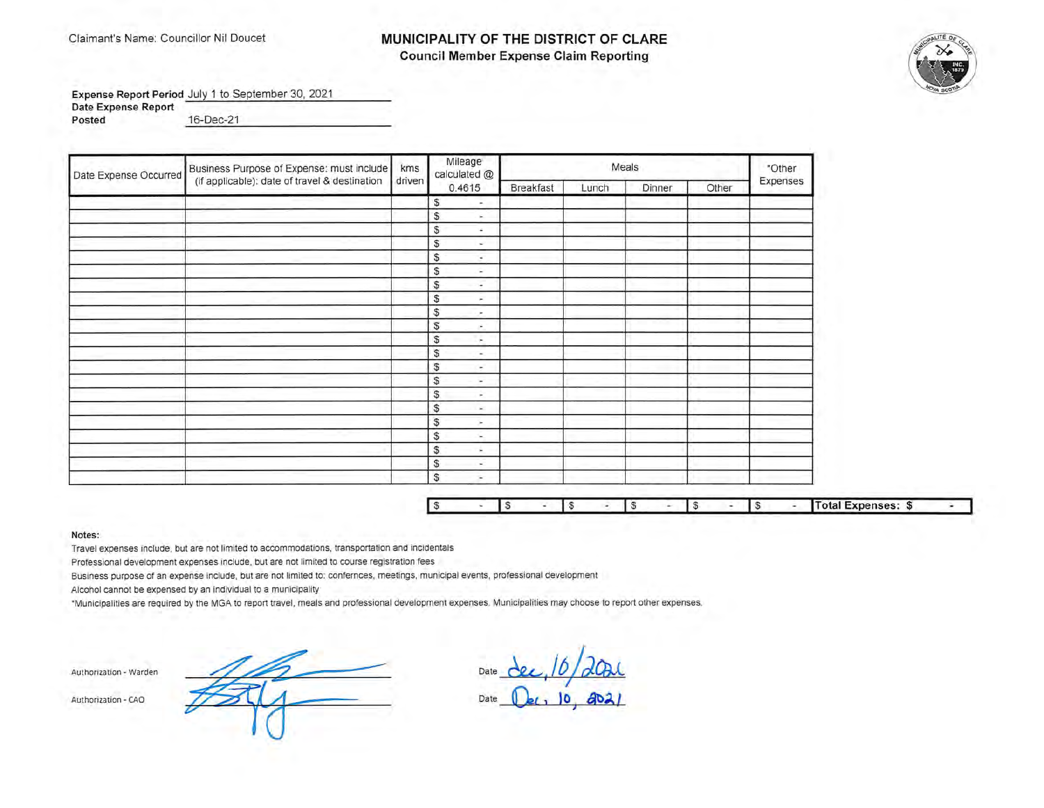## MUNICIPALITY OF THE DISTRICT OF CLARE **Council Member Expense Claim Reporting**



×

Expense Report Period July 1 to September 30, 2021 Date Expense Report Posted 16-Dec-21

Mileage Business Purpose of Expense: must include kms Meals \*Other calculated @ Date Expense Occurred (if applicable): date of travel & destination driven Expenses 0.4615 **Breakfast** Lunch Dinner Other  $\mathbb{S}$  $\overline{\phantom{a}}$  $\mathbb{S}$  $\sim$  $\mathbb{S}$  $\omega$ S  $\sim$ S ÷. S ÷  $\mathbb{S}$  $\overline{\phantom{a}}$  $\overline{\mathbb{S}}$  $\sim$  $\mathbb{S}$  $\overline{a}$  $\mathbb{S}$  $\sim$  $\mathbb{S}$  $\sim$ S ÷.  $\mathbb{S}$  $\sim$ S v  $\mathbb{S}$ ÷ S  $\sim$ S ×  $\mathbb{S}$  $\sim$ S ÷. S  $\sim$ S  $\sim$ **Total Expenses: \$** S **S** 'S **S**  $\sqrt{3}$  $\sqrt{3}$ 

Notes:

Travel expenses include, but are not limited to accommodations, transportation and incidentals

Professional development expenses include, but are not limited to course registration fees

Business purpose of an expense include, but are not limited to: confernces, meetings, municipal events, professional development

Alcohol cannot be expensed by an individual to a municipality

\*Municipalities are required by the MGA to report travel, meals and professional development expenses. Municipalities may choose to report other expenses.

Authorization - Warden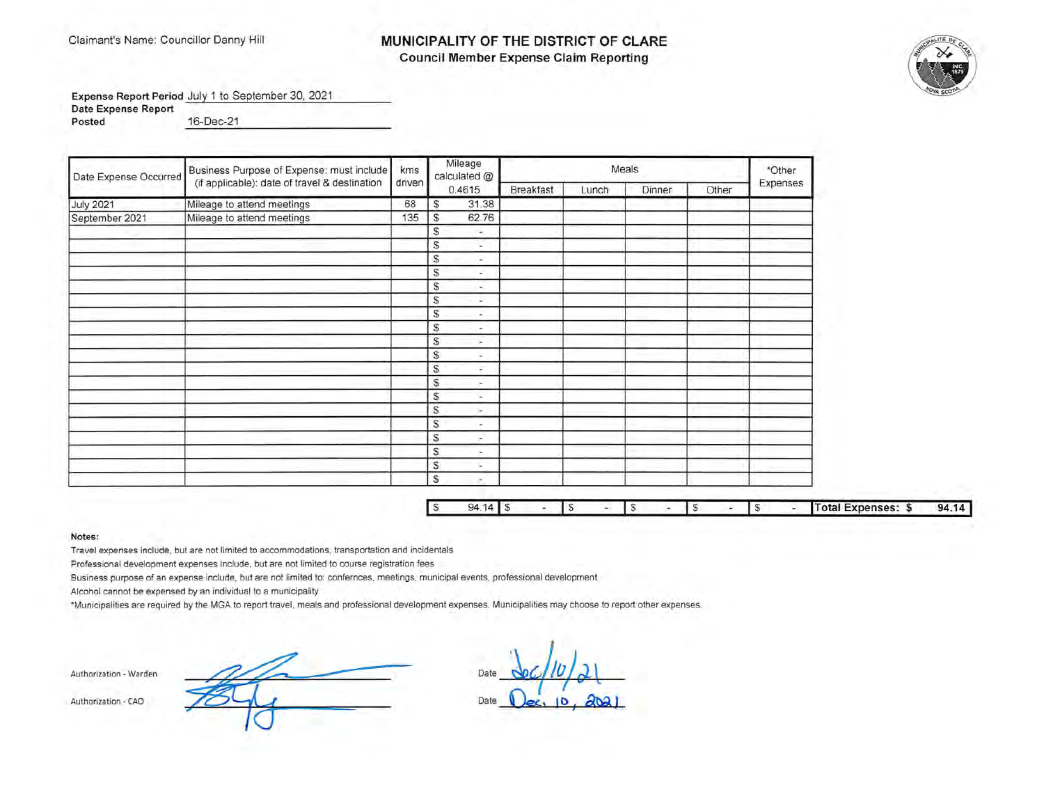# Claimant's Name: Councillor Danny Hill **MUNICIPALITY OF THE DISTRICT OF CLARE Council Member Expense Claim Reporting**



**Expense Report Period** July 1 to September 30, 2021

**Date Expense Report** 

**Posted** 16-Dec-21 16-Dec-21

| Date Expense Occurred | Business Purpose of Expense: must include     | kms.   | Mileage<br>calculated @       |           |       | Meals  |       | *Other   |
|-----------------------|-----------------------------------------------|--------|-------------------------------|-----------|-------|--------|-------|----------|
|                       | (if applicable): date of travel & destination | driven | 0.4615                        | Breakfast | Lunch | Dinner | Other | Expenses |
| <b>July 2021</b>      | Mileage to attend meetings                    | 68     | 31.38<br>s                    |           |       |        |       |          |
| September 2021        | Mileage to attend meetings                    | 135    | 62.76<br>s                    |           |       |        |       |          |
|                       |                                               |        | s<br>$\overline{\phantom{a}}$ |           |       |        |       |          |
|                       |                                               |        | S<br>÷                        |           |       |        |       |          |
|                       |                                               |        | S<br>×,                       |           |       |        |       |          |
|                       |                                               |        | S<br>$\overline{\phantom{a}}$ |           |       |        |       |          |
|                       |                                               |        | S<br>$\sim$                   |           |       |        |       |          |
|                       |                                               |        | S<br>٠                        |           |       |        |       |          |
|                       |                                               |        | S<br>۰                        |           |       |        |       |          |
|                       |                                               |        | S<br>$\sim$                   |           |       |        |       |          |
|                       |                                               |        | \$<br>×.                      |           |       |        |       |          |
|                       |                                               |        | s<br>÷                        |           |       |        |       |          |
|                       |                                               |        | S<br>$\sim$                   |           |       |        |       |          |
|                       |                                               |        | s<br>×                        |           |       |        |       |          |
|                       |                                               |        | s.<br>Ξ                       |           |       |        |       |          |
|                       |                                               |        | S.<br>×.                      |           |       |        |       |          |
|                       |                                               |        | S<br>$\tilde{\phantom{a}}$    |           |       |        |       |          |
|                       |                                               |        | S.<br>C.                      |           |       |        |       |          |
|                       |                                               |        | \$<br>×.                      |           |       |        |       |          |
|                       |                                               |        | S<br>s.                       |           |       |        |       |          |
|                       |                                               |        | \$<br>$\sim$                  |           |       |        |       |          |

| $\Gamma$ | чд |  |  |  |  |  | Total Expenses: | ма |
|----------|----|--|--|--|--|--|-----------------|----|
|          |    |  |  |  |  |  |                 |    |

**Notes:** 

Travel expenses include, but are not limited to accommodations, transportation and incidentals

Professional development expenses include, but are not limited to course registration fees

Business purpose of an expense include, but are not limited to: confernces, meetings, municipal events, professional development

Alcohol cannot be expensed by an individual to a municipality

\*Municipalities are required by the MGA to report travel, meals and professional development expenses. Municipalities may choose to report other expenses.

**Authorization - Warden** 

Authorization • CAO Date

Dat *'\*c/t/J )* **J-\** / **<sup>C</sup>**  $\bigcup_{e \in \mathcal{C}} [0, \frac{\partial}{\partial a}]$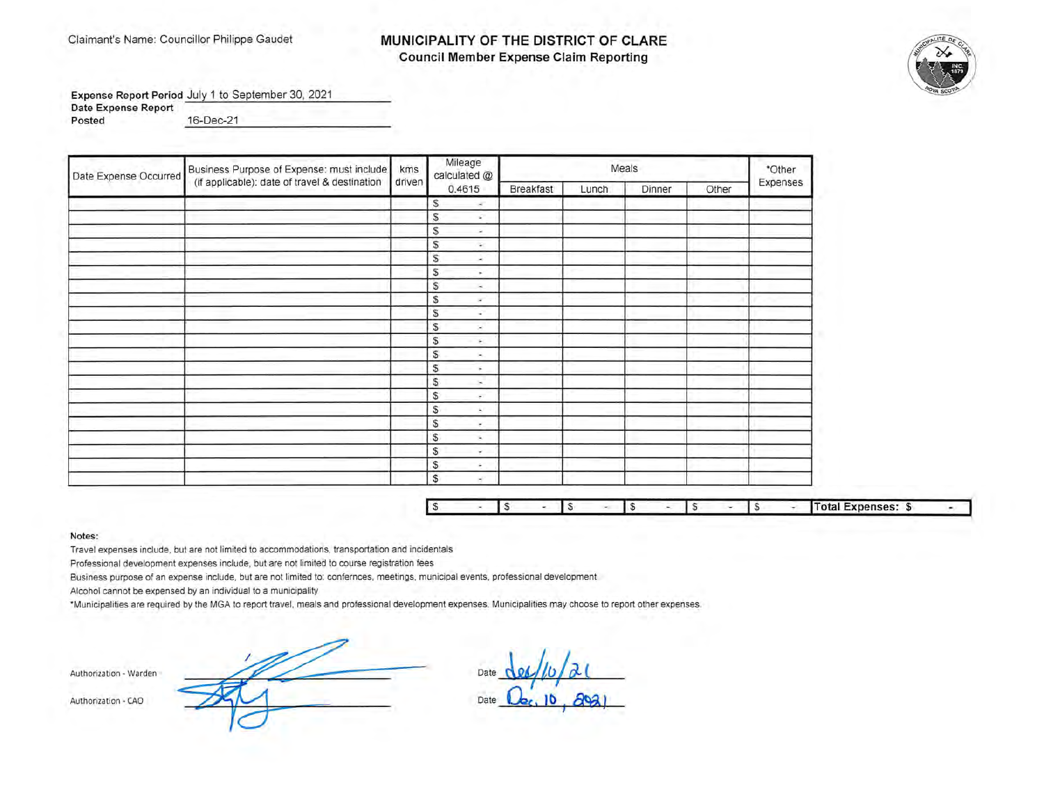## Claimant's Name: Councillor Philippe Gaudet **MUNICIPALITY OF THE DISTRICT OF CLARE Council Member Expense Claim Reporting**



**Expense Report Period** July 1 to September 30, 2021 **Date Expense Report Posted** 16-Dec-21 ---------------

| Date Expense Occurred | Business Purpose of Expense: must include     | kms    | Mileage<br>calculated @          |                  |       | Meals  |       | *Other   |
|-----------------------|-----------------------------------------------|--------|----------------------------------|------------------|-------|--------|-------|----------|
|                       | (if applicable): date of travel & destination | driven | 0.4615                           | <b>Breakfast</b> | Lunch | Dinner | Other | Expenses |
|                       |                                               |        | S<br>$\sim$                      |                  |       |        |       |          |
|                       |                                               |        | $\mathbb{S}$<br>c.               |                  |       |        |       |          |
|                       |                                               |        | S<br>$\sim$                      |                  |       |        |       |          |
|                       |                                               |        | $\mathbb S$<br>$\sim$            |                  |       |        |       |          |
|                       |                                               |        | S<br>à.                          |                  |       |        |       |          |
|                       |                                               |        | S<br>٠                           |                  |       |        |       |          |
|                       |                                               |        | S<br>÷                           |                  |       |        |       |          |
|                       |                                               |        | S<br>۰                           |                  |       |        |       |          |
|                       |                                               |        | S<br>$\mathcal{L}^{\mathcal{P}}$ |                  |       |        |       |          |
|                       |                                               |        | S<br>×                           |                  |       |        |       |          |
|                       |                                               |        | $\mathbb S$<br>÷.                |                  |       |        |       |          |
|                       |                                               |        | \$<br>ж.                         |                  |       |        |       |          |
|                       |                                               |        | \$<br>٠                          |                  |       |        |       |          |
|                       |                                               |        | S<br>×.                          |                  |       |        |       |          |
|                       |                                               |        | S.<br>÷.                         |                  |       |        |       |          |
|                       |                                               |        | S<br>٠                           |                  |       |        |       |          |
|                       |                                               |        | S                                |                  |       |        |       |          |
|                       |                                               |        | S<br>$\sim$                      |                  |       |        |       |          |
|                       |                                               |        | S<br>۰                           |                  |       |        |       |          |
|                       |                                               |        | $\mathbb S$<br>٠                 |                  |       |        |       |          |
|                       |                                               |        | S<br>H.                          |                  |       |        |       |          |

|  |  |  |  |  |  |  |  |  |  |  |  | <b>Total Expenses: \$</b> |  |
|--|--|--|--|--|--|--|--|--|--|--|--|---------------------------|--|
|--|--|--|--|--|--|--|--|--|--|--|--|---------------------------|--|

**Notes:** 

Travel expenses include, but are not limited to accommodations, transportation and incidentals

Professional development expenses include, but are not limited to course registration fees

Business purpose of an expense include, but are not limited to: confernces, meetings, municipal events, professional development

Alcohol cannot be expensed by an individual to a municipality

\*Municipalities are required by the MGA to report travel , meals and professional development expenses. Municipalities may choose to report other expenses.

Authorization - Warden

Date  $\frac{d\alpha}{d\omega}$ Date **Qc, 10, 2021**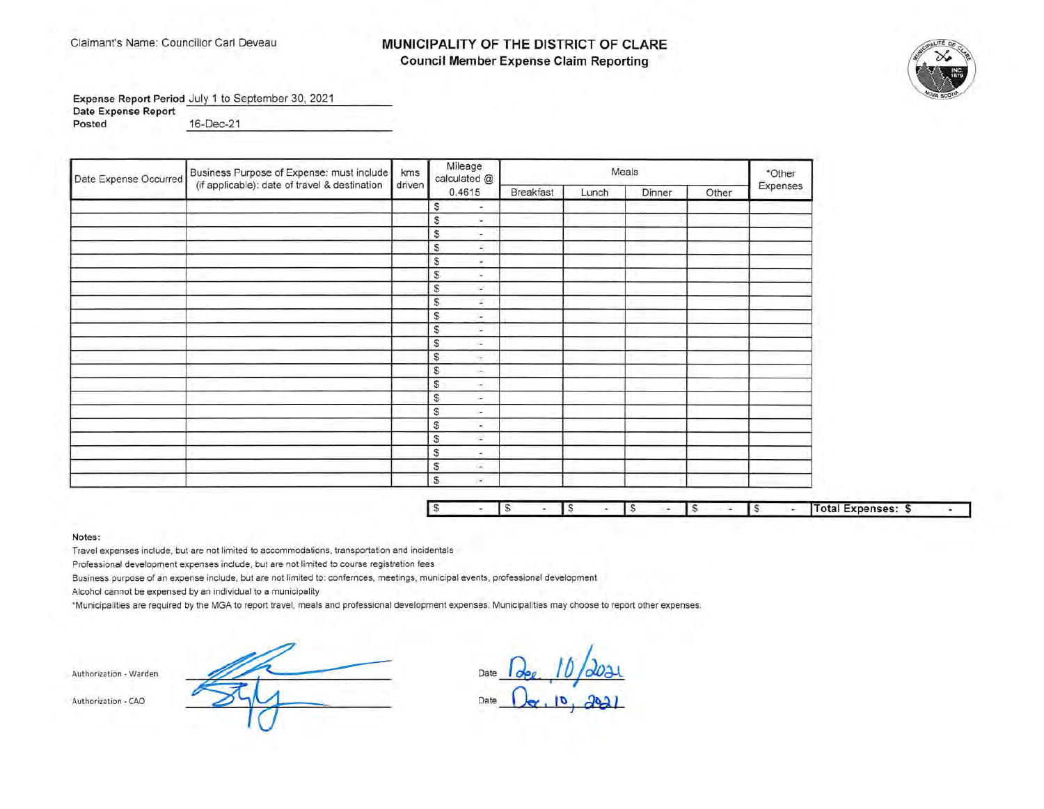## Claimant's Name: Councillor Carl Deveau **MUNICIPALITY OF THE DISTRICT OF CLARE Council Member Expense Claim Reporting**



**Expense Report Period** July 1 to September 30, 2021

**Date Expense Report** 

**Posted** 16-Dec-21

| Date Expense Occurred | Business Purpose of Expense: must include     | km <sub>s</sub> | Mileage<br>calculated @              |           |       | Meals  |       | *Other   |
|-----------------------|-----------------------------------------------|-----------------|--------------------------------------|-----------|-------|--------|-------|----------|
|                       | (if applicable): date of travel & destination | driven          | 0.4615                               | Breakfast | Lunch | Dinner | Other | Expenses |
|                       |                                               |                 | s                                    |           |       |        |       |          |
|                       |                                               |                 | S<br>$\sim$                          |           |       |        |       |          |
|                       |                                               |                 | S<br>$\overline{\phantom{a}}$        |           |       |        |       |          |
|                       |                                               |                 | S<br>×.                              |           |       |        |       |          |
|                       |                                               |                 | S<br>٠                               |           |       |        |       |          |
|                       |                                               |                 | $\mathbb{S}$<br>$\ddot{\phantom{1}}$ |           |       |        |       |          |
|                       |                                               |                 | $\mathbb{S}$<br>×.                   |           |       |        |       |          |
|                       |                                               |                 | $\mathbb{S}$<br>z.                   |           |       |        |       |          |
|                       |                                               |                 | $\mathbb{S}$<br>$\sim$               |           |       |        |       |          |
|                       |                                               |                 | s<br>$\sim$                          |           |       |        |       |          |
|                       |                                               |                 | S<br>чá                              |           |       |        |       |          |
|                       |                                               |                 | S<br>$\sim$                          |           |       |        |       |          |
|                       |                                               |                 | \$<br>in.                            |           |       |        |       |          |
|                       |                                               |                 | S<br>$\sim$                          |           |       |        |       |          |
|                       |                                               |                 | $\mathbb{S}$<br>÷.                   |           |       |        |       |          |
|                       |                                               |                 | S<br>$\sim$                          |           |       |        |       |          |
|                       |                                               |                 | S<br>$\overline{\phantom{a}}$        |           |       |        |       |          |
|                       |                                               |                 | S<br>$\sim$                          |           |       |        |       |          |
|                       |                                               |                 | S<br>$\overline{\phantom{a}}$        |           |       |        |       |          |
|                       |                                               |                 | S<br>G.                              |           |       |        |       |          |
|                       |                                               |                 | S<br>×                               |           |       |        |       |          |

| l s |  |  |  |  |  | al Expenses: 5 |  |
|-----|--|--|--|--|--|----------------|--|
|     |  |  |  |  |  |                |  |

**Notes:** 

Travel expenses include, but are not limited to accommodations, transportation and incidentals

Professional development expenses include, but are not limited to course registration fees

Business purpose of an expense include, but are not limited to: confernces, meetings, municipal events, professional development

Alcohol cannot be expensed by an individual to a municipality

•Municipalities are required by the MGA to report travel , meals and professional development expenses. Municipalities may choose to report other expenses.

**Authorization • Warden** 

Dat **Date** ~ **IIJ /Joa.t** I *<sup>I</sup>* $D_{\alpha}$ ,  $D_{\beta}$ ,  $J_{\beta}$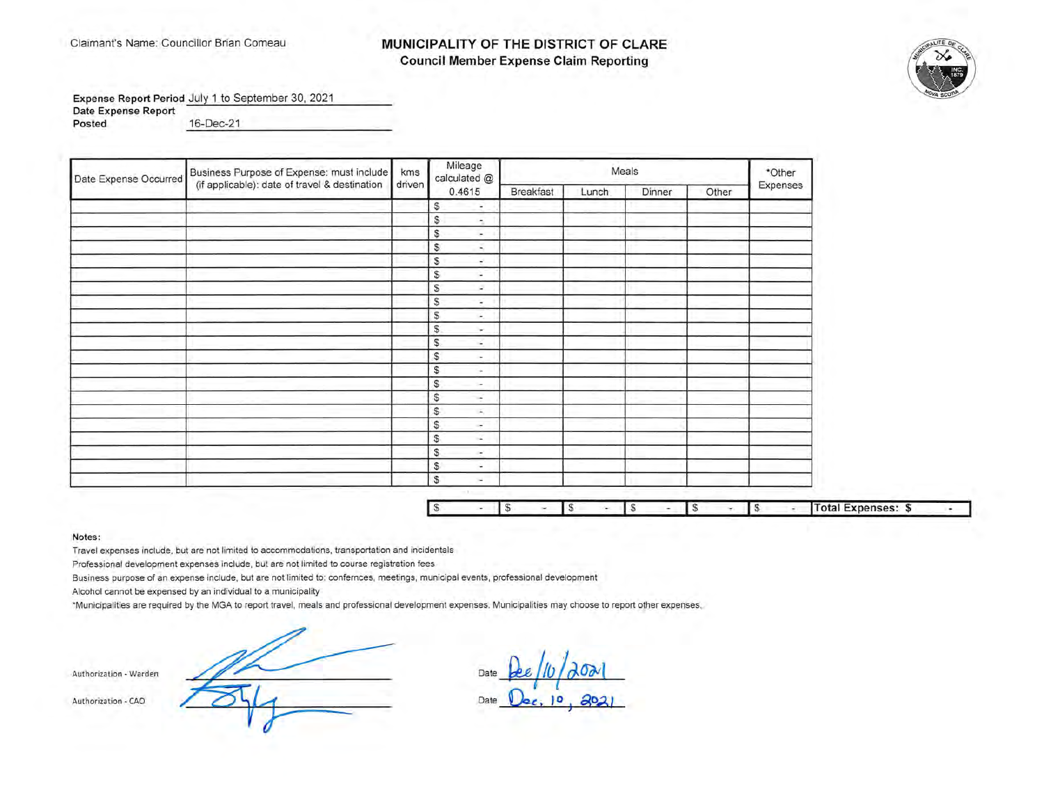## MUNICIPALITY OF THE DISTRICT OF CLARE **Council Member Expense Claim Reporting**



Expense Report Period July 1 to September 30, 2021 **Date Expense Report** 

Posted

16-Dec-21

| Date Expense Occurred | Business Purpose of Expense: must include     | kms    | Mileage<br>calculated @       |           |       | Meals  |       | *Other   |
|-----------------------|-----------------------------------------------|--------|-------------------------------|-----------|-------|--------|-------|----------|
|                       | (if applicable): date of travel & destination | driven | 0.4615                        | Breakfast | Lunch | Dinner | Other | Expenses |
|                       |                                               |        | s<br>$\overline{\phantom{a}}$ |           |       |        |       |          |
|                       |                                               |        | \$<br>÷                       |           |       |        |       |          |
|                       |                                               |        | S<br>$\sim$                   |           |       |        |       |          |
|                       |                                               |        | \$<br>÷                       |           |       |        |       |          |
|                       |                                               |        | S<br>÷.                       |           |       |        |       |          |
|                       |                                               |        | S<br>÷                        |           |       |        |       |          |
|                       |                                               |        | S<br>×.                       |           |       |        |       |          |
|                       |                                               |        | S<br>÷                        |           |       |        |       |          |
|                       |                                               |        | \$<br>÷.                      |           |       |        |       |          |
|                       |                                               |        | S<br>w.                       |           |       |        |       |          |
|                       |                                               |        | S<br>×.                       |           |       |        |       |          |
|                       |                                               |        | $\mathbb{S}$<br>×.            |           |       |        |       |          |
|                       |                                               |        | S                             |           |       |        |       |          |
|                       |                                               |        | S<br>×.                       |           |       |        |       |          |
|                       |                                               |        | \$<br>$\rightarrow$           |           |       |        |       |          |
|                       |                                               |        | \$<br>×.                      |           |       |        |       |          |
|                       |                                               |        | S<br>$\sim$                   |           |       |        |       |          |
|                       |                                               |        | \$<br>$\sim$                  |           |       |        |       |          |
|                       |                                               |        | S<br>×.                       |           |       |        |       |          |
|                       |                                               |        | S<br>÷                        |           |       |        |       |          |
|                       |                                               |        | S<br>$\sim$                   |           |       |        |       |          |

|  |  |  |  |  |  | <b>Total Expenses:</b> |  |
|--|--|--|--|--|--|------------------------|--|

#### Notes:

Travel expenses include, but are not limited to accommodations, transportation and incidentals

Professional development expenses include, but are not limited to course registration fees

Business purpose of an expense include, but are not limited to: confernces, meetings, municipal events, professional development

Alcohol cannot be expensed by an individual to a municipality

\*Municipalities are required by the MGA to report travel, meals and professional development expenses. Municipalities may choose to report other expenses,

Da Date

Authorization - Warden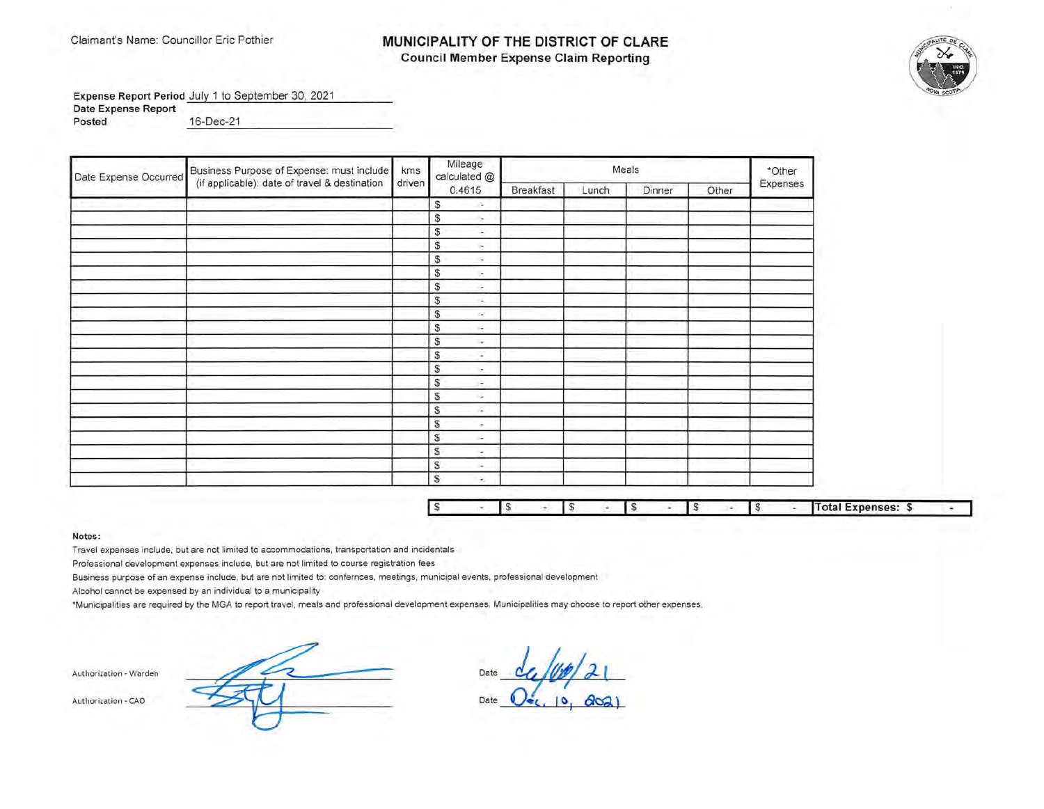### Claimant's Name: Councillor Eric Pothier **MUNICIPALITY OF THE DISTRICT OF CLARE Council Member Expense Claim Reporting**



**Expense Report Period** July 1 to September 30, 2021

**Date Expense Report** 

**Posted** 16-Dec-21 16-Dec-21

| Date Expense Occurred | Business Purpose of Expense: must include   kms |        | Mileage<br>calculated @        |                  |       | Meals  |       | *Other   |
|-----------------------|-------------------------------------------------|--------|--------------------------------|------------------|-------|--------|-------|----------|
|                       | (if applicable): date of travel & destination   | driven | 0.4615                         | <b>Breakfast</b> | Lunch | Dinner | Other | Expenses |
|                       |                                                 |        | s<br>$\overline{\phantom{a}}$  |                  |       |        |       |          |
|                       |                                                 |        | \$<br>$\overline{\phantom{a}}$ |                  |       |        |       |          |
|                       |                                                 |        | S<br>÷                         |                  |       |        |       |          |
|                       |                                                 |        | S.<br>$\sim$                   |                  |       |        |       |          |
|                       |                                                 |        | S.<br>$\sim$                   |                  |       |        |       |          |
|                       |                                                 |        | S.<br>G.                       |                  |       |        |       |          |
|                       |                                                 |        | S.<br>$\sim$                   |                  |       |        |       |          |
|                       |                                                 |        | $\mathbb{S}$<br>÷.             |                  |       |        |       |          |
|                       |                                                 |        | $\mathbb{S}$<br>×.             |                  |       |        |       |          |
|                       |                                                 |        | S<br>÷.                        |                  |       |        |       |          |
|                       |                                                 |        | $\mathbb{S}$<br>$\sim$         |                  |       |        |       |          |
|                       |                                                 |        | S.<br>$\tilde{\phantom{a}}$    |                  |       |        |       |          |
|                       |                                                 |        | S<br>÷                         |                  |       |        |       |          |
|                       |                                                 |        | $\mathbb{S}$<br>F.             |                  |       |        |       |          |
|                       |                                                 |        | S.<br>кZ.                      |                  |       |        |       |          |
|                       |                                                 |        | s<br>÷.                        |                  |       |        |       |          |
|                       |                                                 |        | S<br>÷                         |                  |       |        |       |          |
|                       |                                                 |        | S<br>$\sim$                    |                  |       |        |       |          |
|                       |                                                 |        | s<br>$\sim$                    |                  |       |        |       |          |
|                       |                                                 |        | S<br>in a                      |                  |       |        |       |          |
|                       |                                                 |        | S<br>×                         |                  |       |        |       |          |

| . . |  |  |  |  |  | Total Expenses: \$ |  |
|-----|--|--|--|--|--|--------------------|--|

**Notes :** 

Travel expenses include, but are not limited to accommodations, transportation and incidentals

Professional development expenses include, but are not limited to course registration fees

Business purpose of an expense include, but are not limited to: confernces, meetings, municipal events, professional development

Alcohol cannot be expensed by an individual to a municipality

\*Municipalities are required by the MGA to report travel, meals and professional development expenses. Municipalities may choose to report other expenses.

Authorization - Warden

Date Date **0**  $\frac{d}{dx}/\frac{dy}{dx}$  21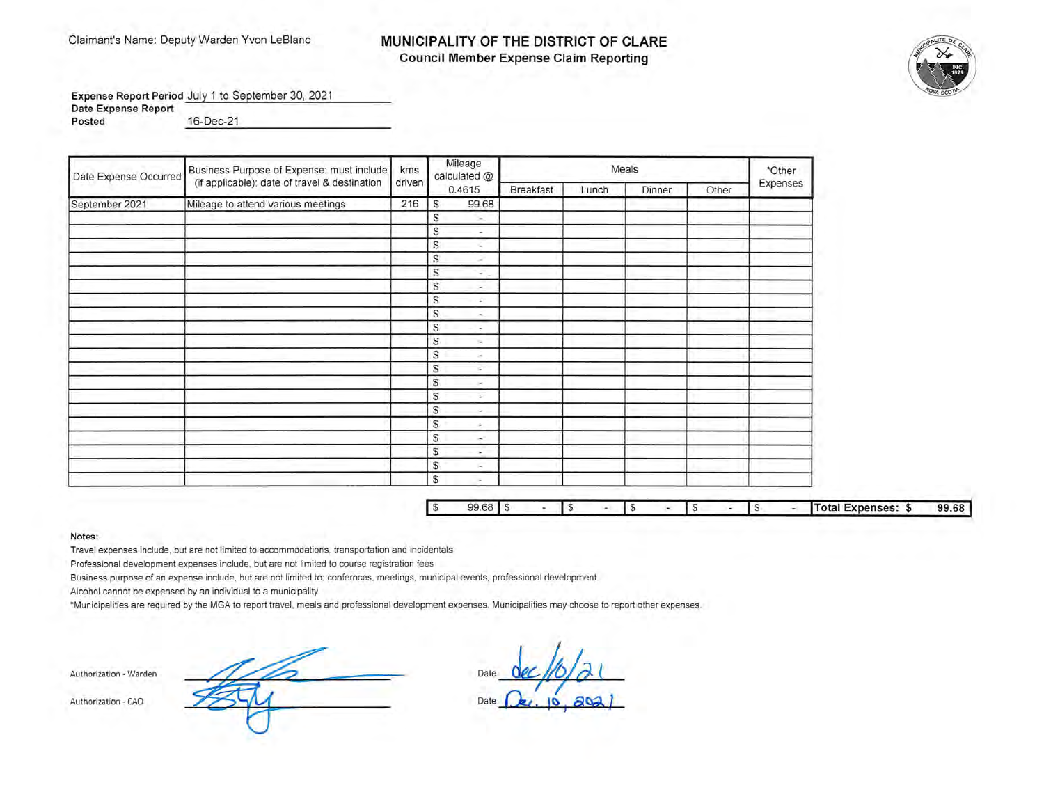## Claimant's Name: Deputy Warden Yvon LeBlanc **MUNICIPALITY OF THE DISTRICT OF CLARE Council Member Expense Claim Reporting**



**Expense Report Period** July 1 to September 30, 2021 **Date Expense Report** -- --

**Posted** 16-Dec-21 ----------------

| Date Expense Occurred | Business Purpose of Expense: must include<br>(if applicable): date of travel & destination | kms    | Mileage<br>calculated @        |           |       | Meals  |       | *Other   |
|-----------------------|--------------------------------------------------------------------------------------------|--------|--------------------------------|-----------|-------|--------|-------|----------|
|                       |                                                                                            | driven | 0.4615                         | Breakfast | Lunch | Dinner | Other | Expenses |
| September 2021        | Mileage to attend various meetings                                                         | 216    | 99.68<br>S                     |           |       |        |       |          |
|                       |                                                                                            |        | S<br>$\overline{\phantom{a}}$  |           |       |        |       |          |
|                       |                                                                                            |        | S<br>$\overline{\phantom{a}}$  |           |       |        |       |          |
|                       |                                                                                            |        | S<br>÷                         |           |       |        |       |          |
|                       |                                                                                            |        | S<br>÷                         |           |       |        |       |          |
|                       |                                                                                            |        | S,<br>÷                        |           |       |        |       |          |
|                       |                                                                                            |        | S.<br>$\overline{\phantom{a}}$ |           |       |        |       |          |
|                       |                                                                                            |        | £.<br>$\sim$                   |           |       |        |       |          |
|                       |                                                                                            |        | S<br>×.                        |           |       |        |       |          |
|                       |                                                                                            |        | S<br>÷                         |           |       |        |       |          |
|                       |                                                                                            |        | S<br>$\sim$                    |           |       |        |       |          |
|                       |                                                                                            |        | S<br>$\sim$                    |           |       |        |       |          |
|                       |                                                                                            |        | \$<br>$\sim$                   |           |       |        |       |          |
|                       |                                                                                            |        | s.<br>×                        |           |       |        |       |          |
|                       |                                                                                            |        | S<br>$\overline{\phantom{a}}$  |           |       |        |       |          |
|                       |                                                                                            |        | S.<br>$\overline{\phantom{a}}$ |           |       |        |       |          |
|                       |                                                                                            |        | S.<br>÷.                       |           |       |        |       |          |
|                       |                                                                                            |        | S.<br>×.                       |           |       |        |       |          |
|                       |                                                                                            |        | S.<br>٠                        |           |       |        |       |          |
|                       |                                                                                            |        | S.<br>×.                       |           |       |        |       |          |
|                       |                                                                                            |        | S.<br>$\overline{\phantom{a}}$ |           |       |        |       |          |

| 99.68 |  |  |  |  |  | <b>Total Expenses:</b><br>- 33 | qc |
|-------|--|--|--|--|--|--------------------------------|----|

**Notes:** 

Travel expenses include, but are not limited to accommodations, transportation and incidentals

Professional development expenses include, but are not limited to course registration fees

Business purpose of an expense include, but are not limited to: confernces, meetings, municipal events, professional development

Alcohol cannot be expensed by an individual to a municipality

·Municipalities are required by the MGA to report travel, meals and professional development expenses. Municipalities may choose to report other expenses.

**Authorization - Warden** 

Date Date <u>Cec/10/21</u><br>Date <u>Dec, 10, a021</u>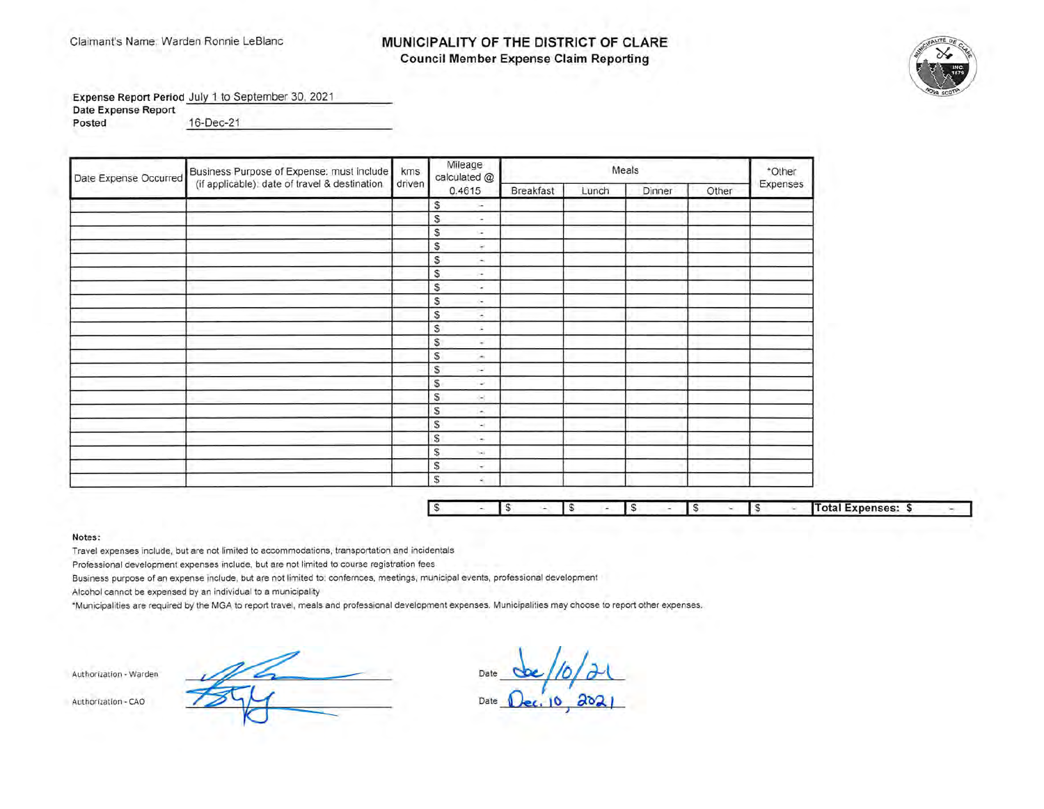## Claimant's Name: Warden Ronnie LeBlanc **MUNICIPALITY OF THE DISTRICT OF CLARE Council Member Expense Claim Reporting**



Expense Report Period July 1 to September 30, 2021

**Date Expense Report** 

**Posted** 16-Dec-21 ---------------

| Date Expense Occurred | Business Purpose of Expense: must include     | kms    | Mileage<br>calculated @       |           | *Other |        |       |          |
|-----------------------|-----------------------------------------------|--------|-------------------------------|-----------|--------|--------|-------|----------|
|                       | (if applicable): date of travel & destination | driven | 0.4615                        | Breakfast | Lunch  | Dinner | Other | Expenses |
|                       |                                               |        | S<br>$\sim$                   |           |        |        |       |          |
|                       |                                               |        | S<br>×                        |           |        |        |       |          |
|                       |                                               |        | S<br>G.                       |           |        |        |       |          |
|                       |                                               |        | S<br>÷                        |           |        |        |       |          |
|                       |                                               |        | S<br>$\Delta_{\rm S}$         |           |        |        |       |          |
|                       |                                               |        | S<br>$\sim$                   |           |        |        |       |          |
|                       |                                               |        | S<br>$\overline{\phantom{a}}$ |           |        |        |       |          |
|                       |                                               |        | s<br>ò.                       |           |        |        |       |          |
|                       |                                               |        | S<br>$\tilde{\phantom{a}}$    |           |        |        |       |          |
|                       |                                               |        | S<br>$\sim$                   |           |        |        |       |          |
|                       |                                               |        | \$<br>$\sim$                  |           |        |        |       |          |
|                       |                                               |        | S.<br>×                       |           |        |        |       |          |
|                       |                                               |        | S<br>$\sim$                   |           |        |        |       |          |
|                       |                                               |        | S<br>٠                        |           |        |        |       |          |
|                       |                                               |        | S.<br>×                       |           |        |        |       |          |
|                       |                                               |        | S<br>×                        |           |        |        |       |          |
|                       |                                               |        | S<br>Ŵ.                       |           |        |        |       |          |
|                       |                                               |        | S<br>$\sim$                   |           |        |        |       |          |
|                       |                                               |        | S<br>S.                       |           |        |        |       |          |
|                       |                                               |        | S<br>÷                        |           |        |        |       |          |
|                       |                                               |        | S<br>é,                       |           |        |        |       |          |

|  |  |  |  |  |  | Total Expenses: \$ |  |
|--|--|--|--|--|--|--------------------|--|

#### **Notes:**

Travel expenses include, but are not limited to accommodations, transportation and incidentals

Professional development expenses include, but are not limited to course registration fees

Business purpose of an expense include, but are not limited to: confernces, meetings, municipal events, professional development

Alcohol cannot be expensed by an individual to a municipality

\*Municipalities are required by the MGA to report travel, meals and professional development expenses. Municipalities may choose to report other expenses.

Authorization - Warden - Authorization - CAO

Date <u>be/10/21</u><br>Date <u>Dec. 10, 2021</u> Date **Dec. 10, 2021**